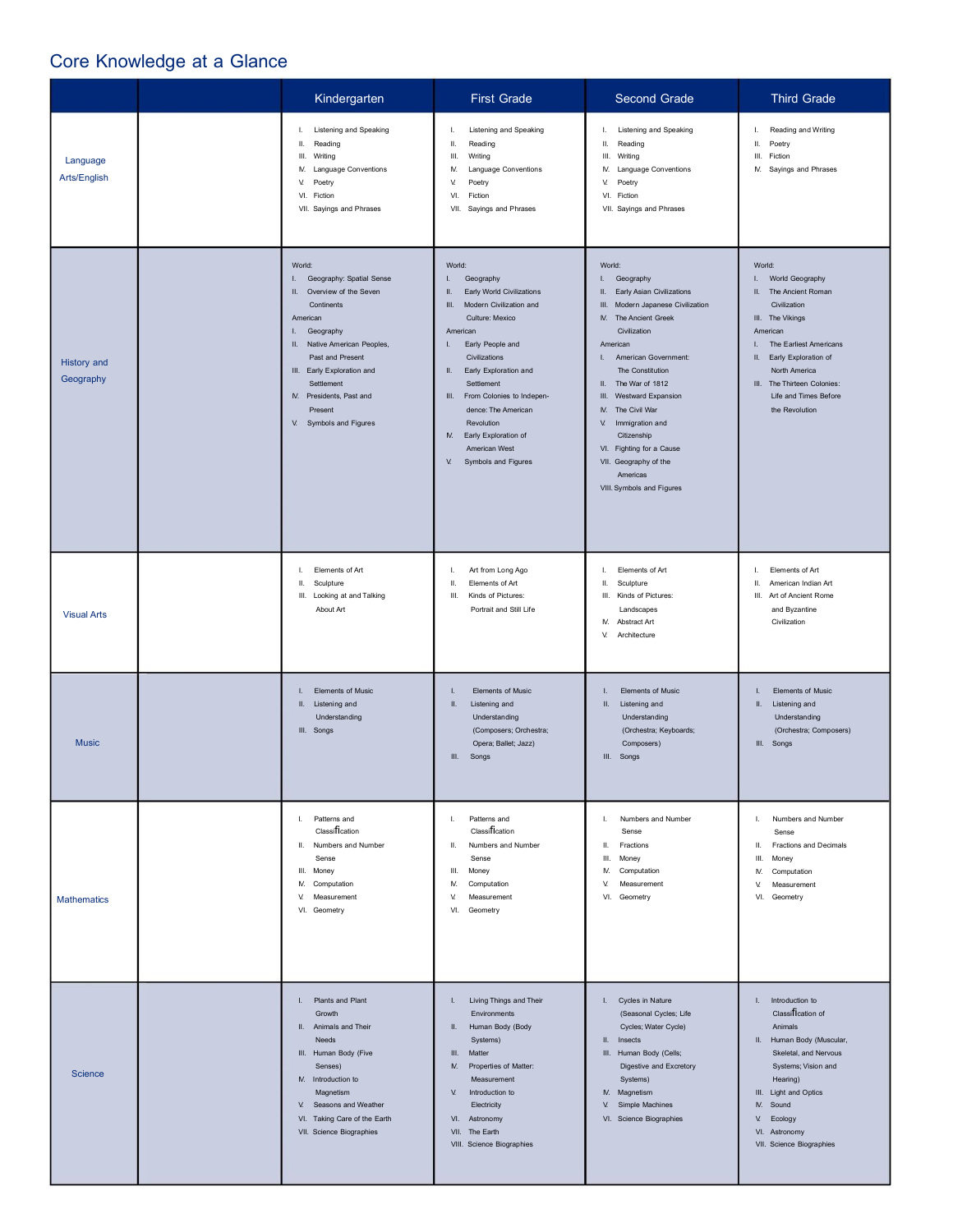## Core Knowledge at a Glance

|                                 | Kindergarten                                                                                                                                                                                                                                                                    | <b>First Grade</b>                                                                                                                                                                                                                                                                                                                                                        | Second Grade                                                                                                                                                                                                                                                                                                                                                                                                                                     | <b>Third Grade</b>                                                                                                                                                                                                                                                |
|---------------------------------|---------------------------------------------------------------------------------------------------------------------------------------------------------------------------------------------------------------------------------------------------------------------------------|---------------------------------------------------------------------------------------------------------------------------------------------------------------------------------------------------------------------------------------------------------------------------------------------------------------------------------------------------------------------------|--------------------------------------------------------------------------------------------------------------------------------------------------------------------------------------------------------------------------------------------------------------------------------------------------------------------------------------------------------------------------------------------------------------------------------------------------|-------------------------------------------------------------------------------------------------------------------------------------------------------------------------------------------------------------------------------------------------------------------|
| Language<br>Arts/English        | <b>Listening and Speaking</b><br>Τ.<br>Ш.<br>Reading<br>III.<br>Writing<br>M. Language Conventions<br>V.<br>Poetry<br>VI. Fiction<br>VII. Sayings and Phrases                                                                                                                   | Listening and Speaking<br>Ι.<br>Ш.<br>Reading<br>Ш.<br>Writing<br>Language Conventions<br>IV.<br>V.<br>Poetry<br>VI.<br>Fiction<br>VII. Sayings and Phrases                                                                                                                                                                                                               | <b>Listening and Speaking</b><br>I.<br>Ш.<br>Reading<br>Ш.<br>Writing<br>M. Language Conventions<br>V.<br>Poetry<br>VI. Fiction<br>VII. Sayings and Phrases                                                                                                                                                                                                                                                                                      | Reading and Writing<br>I.,<br>Ш.<br>Poetry<br>Ш.<br>Fiction<br>M. Sayings and Phrases                                                                                                                                                                             |
| <b>History and</b><br>Geography | World:<br>I. Geography: Spatial Sense<br>II. Overview of the Seven<br>Continents<br>American<br>L.<br>Geography<br>II. Native American Peoples,<br>Past and Present<br>III. Early Exploration and<br>Settlement<br>M. Presidents, Past and<br>Present<br>V. Symbols and Figures | World:<br>L.<br>Geography<br>Early World Civilizations<br>Ш.<br>Modern Civilization and<br>III.<br>Culture: Mexico<br>American<br>Early People and<br>L.<br>Civilizations<br>Early Exploration and<br>Ш.<br>Settlement<br>III. From Colonies to Indepen-<br>dence: The American<br>Revolution<br>Early Exploration of<br>N.<br>American West<br>V.<br>Symbols and Figures | World:<br>Geography<br>Τ.<br>Early Asian Civilizations<br>Ш.<br>Ш.<br>Modern Japanese Civilization<br><b>N.</b> The Ancient Greek<br>Civilization<br>American<br>American Government:<br>$\mathbf{L}$<br>The Constitution<br>II. The War of 1812<br>$\,$ III.<br>Westward Expansion<br>N.<br>The Civil War<br>Immigration and<br>V.<br>Citizenship<br>VI. Fighting for a Cause<br>VII. Geography of the<br>Americas<br>VIII. Symbols and Figures | World:<br>World Geography<br>L.<br>II. The Ancient Roman<br>Civilization<br>III. The Vikings<br>American<br>The Earliest Americans<br>L.<br>Early Exploration of<br>Ш.<br>North America<br>III. The Thirteen Colonies:<br>Life and Times Before<br>the Revolution |
| <b>Visual Arts</b>              | Elements of Art<br>Ι.<br>Ш.<br>Sculpture<br>III. Looking at and Talking<br>About Art                                                                                                                                                                                            | Art from Long Ago<br>Ι.<br>Elements of Art<br>Ш.<br>Kinds of Pictures:<br>Ш.<br>Portrait and Still Life                                                                                                                                                                                                                                                                   | Elements of Art<br>I.<br>Ш,<br>Sculpture<br>Kinds of Pictures:<br>Ш.<br>Landscapes<br>IV.<br>Abstract Art<br>V.<br>Architecture                                                                                                                                                                                                                                                                                                                  | Elements of Art<br>L.<br>Ш.<br>American Indian Art<br>III. Art of Ancient Rome<br>and Byzantine<br>Civilization                                                                                                                                                   |
| <b>Music</b>                    | I. Elements of Music<br>II. Listening and<br>Understanding<br>III. Songs                                                                                                                                                                                                        | Elements of Music<br>I.<br>Listening and<br>Ш.<br>Understanding<br>(Composers; Orchestra;<br>Opera; Ballet; Jazz)<br>III.<br>Songs                                                                                                                                                                                                                                        | Elements of Music<br>Ш.<br>Listening and<br>Understanding<br>(Orchestra; Keyboards;<br>Composers)<br>III. Songs                                                                                                                                                                                                                                                                                                                                  | <b>Elements of Music</b><br>L.<br>Ш.<br>Listening and<br>Understanding<br>(Orchestra; Composers)<br>III. Songs                                                                                                                                                    |
| <b>Mathematics</b>              | I. Patterns and<br>Classification<br>II. Numbers and Number<br>Sense<br>III. Money<br>IV. Computation<br>V. Measurement<br>VI. Geometry                                                                                                                                         | Patterns and<br>L.<br>Classification<br>Numbers and Number<br>Ш.<br>Sense<br>Ш.<br>Money<br>IV.<br>Computation<br>V.<br>Measurement<br>VI.<br>Geometry                                                                                                                                                                                                                    | Numbers and Number<br>Ι.<br>Sense<br>Ш.<br>Fractions<br>III.<br>Money<br>Computation<br>N.<br>V.<br>Measurement<br>VI. Geometry                                                                                                                                                                                                                                                                                                                  | L.<br>Numbers and Number<br>Sense<br>Ш.<br>Fractions and Decimals<br>Ш.<br>Money<br>Computation<br>N.<br>V.<br>Measurement<br>VI. Geometry                                                                                                                        |
| Science                         | I. Plants and Plant<br>Growth<br>II. Animals and Their<br>Needs<br>III. Human Body (Five<br>Senses)<br>IV. Introduction to<br>Magnetism<br>V. Seasons and Weather<br>VI. Taking Care of the Earth<br>VII. Science Biographies                                                   | Living Things and Their<br>L.<br>Environments<br>Human Body (Body<br>Ш.<br>Systems)<br>Ш.<br>Matter<br>Properties of Matter:<br>N.<br>Measurement<br>V.<br>Introduction to<br>Electricity<br>VI.<br>Astronomy<br>VII. The Earth<br>VIII. Science Biographies                                                                                                              | I. Cycles in Nature<br>(Seasonal Cycles; Life<br>Cycles; Water Cycle)<br>II. Insects<br>III. Human Body (Cells;<br>Digestive and Excretory<br>Systems)<br>IV. Magnetism<br>V.<br>Simple Machines<br>VI. Science Biographies                                                                                                                                                                                                                      | I. Introduction to<br>Classification of<br>Animals<br>II. Human Body (Muscular,<br>Skeletal, and Nervous<br>Systems; Vision and<br>Hearing)<br>III. Light and Optics<br>M.<br>Sound<br>Ecology<br>V.<br>VI. Astronomy<br>VII. Science Biographies                 |